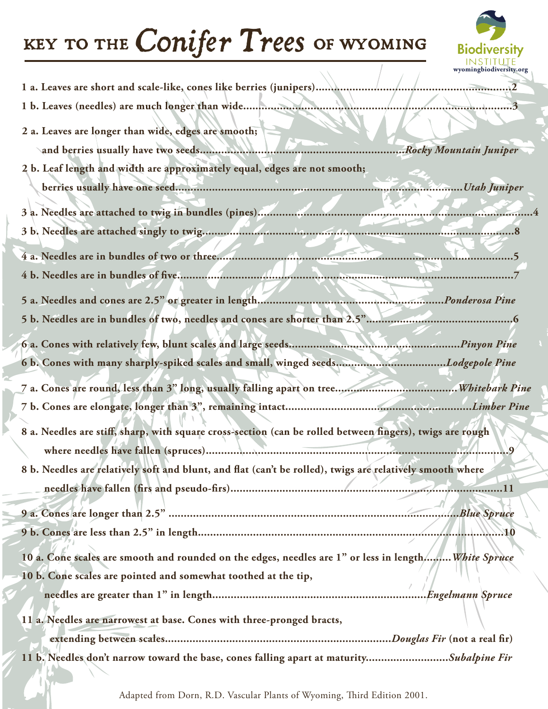## key to the *Conifer Trees* of wyoming



| 1 a. Leaves are short and scale-like, cones like berries (junipers)                                       |
|-----------------------------------------------------------------------------------------------------------|
| 1 b. Leaves (needles) are much longer than wide<br>3                                                      |
| 2 a. Leaves are longer than wide, edges are smooth;                                                       |
|                                                                                                           |
| 2 b. Leaf length and width are approximately equal, edges are not smooth;                                 |
|                                                                                                           |
|                                                                                                           |
|                                                                                                           |
|                                                                                                           |
|                                                                                                           |
|                                                                                                           |
|                                                                                                           |
|                                                                                                           |
|                                                                                                           |
| 6 b. Cones with many sharply-spiked scales and small, winged seedsLodgepole Pine                          |
|                                                                                                           |
|                                                                                                           |
|                                                                                                           |
| 8 a. Needles are stiff, sharp, with square cross-section (can be rolled between fingers), twigs are rough |
|                                                                                                           |
| 8 b. Needles are relatively soft and blunt, and flat (can't be rolled), twigs are relatively smooth where |
| 11                                                                                                        |
| Blue Spruce                                                                                               |
| 01.                                                                                                       |
|                                                                                                           |
| 10 a. Cone scales are smooth and rounded on the edges, needles are 1" or less in length,, White Spruce    |
| 10 b. Cone scales are pointed and somewhat toothed at the tip,                                            |
| Engelmann Spruce                                                                                          |
| 11 a. Needles are narrowest at base. Cones with three-pronged bracts,                                     |
|                                                                                                           |
| 11 b. Needles don't narrow toward the base, cones falling apart at maturitySubalpine Fir                  |

 $\sum$ 

Adapted from Dorn, R.D. Vascular Plants of Wyoming, Third Edition 2001.